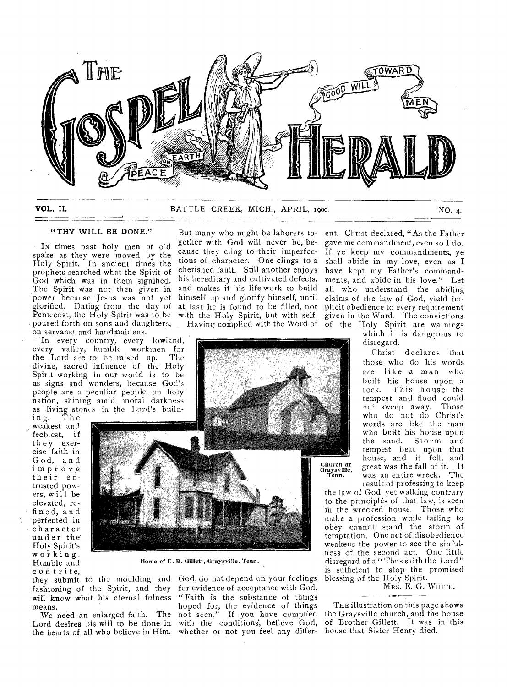

VOL. II. BATTLE CREEK, MICH., APRIL, 1900. NO. 4.

# "THY WILL BE DONE." But many who might be laborers to-

IN times past holy men of old spake as they were moved by the Holy Spirit. In ancient times the prophets searched what the Spirit of God which was in them signified. The Spirit was not then given in power because Jesus was not yet glorified. Dating from the day of Pentecost, the Holy Spirit was to be poured forth on sons and daughters, on servanst and handmaidens.

In every country, every lowland, every valley, humble workmen for the Lord are to be raised up. The divine, sacred influence of the Holy Spirit working in our world is to be as signs and wonders, because God's people are a peculiar people, an holy nation, shining amid morai darkness as living stones in the Lord's build-ing. The

weakest and feeblest, if they exercise faith in God, and improve their entrusted powers, will be elevated, refined, and perfected in character under the Holy Spirit's working. Humble and contrite,

gether with God will never be, because they cling to their imperfections of character. One clings to a cherished fault. Still another enjoys his hereditary and cultivated defects, and makes it his life work to build himself up and glorify himself, until at last he is found to be filled, not with the Holy Spirit, but with self. Having complied with the Word of of the Holy Spirit are warnings



Home of E. R. Gillett, Graysville, Tenn.

they submit to the moulding and God, do not depend on your feelings fashioning of the Spirit, and they for evidence of acceptance with God. will know what his eternal fulness "Faith is the substance of things

means. We need an enlarged faith. The the hearts of all who believe in Him. whether or not you feel any differ-

Lord desires his will to be done in with the conditions, believe God, hoped for, the evidence of things not seen." If you have complied

ent. Christ declared, "As the Father gave me commandment, even so I do. If ye keep my commandments, ye shall abide in my love, even as I have kept my Father's commandments, and abide in his love." Let all who understand the abiding claims of the law of God, yield implicit obedience to every requirement given in the Word. The convictions

> which it is dangerous to disregard.

Christ declares that those who do his words are like a man who built his house upon a<br>rock. This house the This house the tempest and flood could not sweep away. Those who do not do Christ's words are like the man who built his house upon the sand. Storm and tempest beat upon that house, and it fell, and great was the fall of it. It was an entire wreck. The result of professing to keep

the law of God, yet walking contrary to the principles of that law, is seen in the wrecked house. Those who make a profession while failing to obey cannot stand the storm of temptation. One act of disobedience weakens the power to see the sinfulness of the second act. One little disregard of a "Thus saith the Lord" is sufficient to stop the promised blessing of the Holy Spirit.

MRS. E. G. WHITE.

THE illustration on this page shows the Graysville church, and the house of Brother Gillett. It was in this house that Sister Henry died.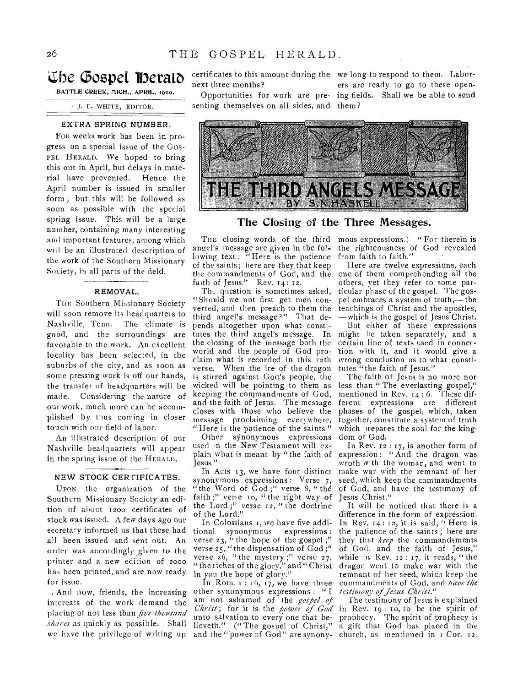# **Che C3ospet**

BATTLE CREEK, MICH., APRIL, 1900.

J. E. WHITE, EDITOR.

### EXTRA SPRING NUMBER.

FOR weeks work has been in progress on a special issue of the Gos-PEL HERALD, We hoped to bring this out in April, but delays in material have prevented. Hence the April number is issued in smaller form ; but this will be followed as soon as possible with the special spring issue. This will be a large number, containing many interesting and important features, among which will be an illustrated description of the work of the Southern Missionary Society, in all parts of the field.

## REMOVAL,

THE Southern Missionary Society will soon remove its headquarters to Nashville, Tenn. The climate is good, and the surroundings are favorable to the work. An excellent locality has been selected, in the suburbs of the city, and as soon as some pressing work is off our hands, the transfer of headquarters will be made. Considering the nature of our work, much more can be accomplished by thus coming in closer touch with our field of labor.

An illustrated description of our Nashville headquarters will appear in the spring issue of the HERALD,

## NEW STOCK CERTIFICATES.

UPON the organization of the Southern Missionary Society an edition of about 1200 certificates of stock was issued. A few days ago our secretary informed us that these had all been issued and sent out. An order was accordingly given to the printer and a new edition of 2000 has been printed, and are now ready for issue.

And now, friends, the increasing intereats of the work demand the placing of not less than *five thousand shares* as quickly as possible. Shall we have the privilege of writing up and the "power of God" are synony- church, as mentioned in I Cor. 12.

certificates to this amount during the we long to respond to them. Labornext three months?

senting themselves on all sides, and them?

Opportunities for work are pre-ing fields. Shall we be able to send ers are ready to go to these open-



# The Closing of the Three Messages.

angel's message are given in the following text: "Here" is the patience of the saints; here are they that keep the commandments of God, and the faith of Jesus." Rev. 14: 12.

The question is sometimes asked, "Should we not first get men converted, and then preach to them the third angel's message?" That depends altogether upon what constitutes the third angel's message. In the closing of the message both the world and the people of God proclaim what is recorded in this 12th verse. When the ire of the dragon is stirred against God's people, the wicked will be pointing to them as keeping the commandments of God, and the faith of Jesus. The message closes with those who believe the message proclaiming everywhere, "Here is the patience of the saints."

Other synonymous expressions used in the New Testament will explain what is meant by "the faith of Jesus."

In Acts  $13$ , we have four distinct synonymous expressions: Verse 7, "the Word of  $\text{God };$ " verse 8, "the faith;" verse to, "the right way of the Lord ;" verse 12, " the doctrine of the Lord."

In Colossians 1, we have five addi-<br>
onal synonymous expressions : tional synonymous verse  $23$ , " the hope of the gospel;" verse  $25'$ , "the dispensation of  $God$ ;" verse  $26$ , " the mystery ;" verse  $27$ , " the riches of the glory," and " Christ in you the hope of glory."

In Rom.  $\mathbf{1} : \mathbf{16}, \mathbf{17}, \mathbf{we}$  have three other synonynious expressions : " I am not ashamed of the *gospel of Christ;* for it is the *power of God*  unto salvation to every one that believeth." ("The gospel of Christ,"

THE closing words of the third mous expressions.) "For therein is the righteousness of God revealed from faith to faith."

Here are twelve expressions, each one of them comprehending all the others, yet they refer to some particular phase of the gospel. The gospel embraces a system of truth,— the teachings of Christ and the apostles, —which is the gospel of Jesus Christ.

But either of these expressions might be taken separately, and a certain line of texts used in connection with it, and it would give a wrong conclusion as to what constitutes "the faith of Jesus."

The faith of Jesus is no more nor less than "The everlasting gospel," mentioned in Rev. 14:6. These different expressions are different phases of the gospel, which, taken together, constitute a system of truth which prepares the soul for the kingdom of God.

In Rev. t2 : 17, is another form of expression: "And the dragon was wroth with the woman, and went to make war with the remnant of her seed, which keep the commandments of God, and have the testimony of Jesus Christ."

It will be noticed that there is a difference in the form of expression. In Rev.  $14:12$ , it is said, "Here is the patience of, the saints ; here are they that *keep* the commandsments of God, and the faith of Jesus," while in Rev.  $12:17$ , it reads, "the dragon went to make war with the remnant of her seed, which keep the commandments of God, and *have the testimony of Jesus Christ."* 

*f* he testimony of Jesus is explained in Rev: 19 : to, to be the spirit of prophecy. The spirit of prophecy is a gift that God has placed in the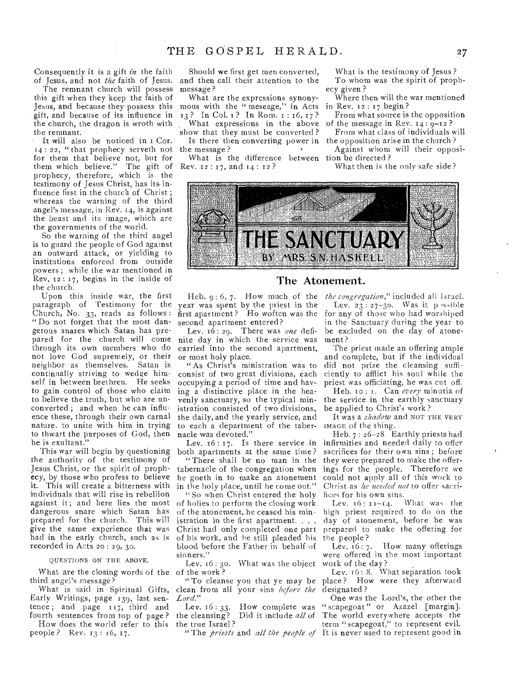Consequently it is a gift *in* the faith of Jesus, and not *the* faith of Jesus.

The remnant church will possess this gift when they keep the faith of Jesus, and because they possess this gift, and because of its influence in the church, the dragon is wroth with the remnant.

- It will also be noticed in 1 Cor. 14 : 22, " that prophecy serveth not for them that believe not, but for them which believe." The gift of prophecy, therefore, which is the testimony of Jesus Christ, has its• influence first in the church of Christ; whereas the warning of the third angel's message, in Rev. 14, is against the beast and its image, which are the governments of the world.

So the warning of the third angel is to guard the people of God against an outward attack, or yielding to institutions enforced from outside powers ; while the war mentioned in Rev,  $12 : 17$ , begins in the inside of the church.

Upon this inside war, the first paragraph of Testimony for the year was spent by the priest in the Church, No. 33, reads as follows : " Do not forget that the most dangerous snares which Satan has prepared for the church will come through its own members who do not love God supremely, or their neighbor as themselves. Satan is continually striving to wedge himself in between brethren. He seeks to gain control of those who claim to believe the truth, but who are unconverted ; and when he can influence these, through their own carnal nature. to unite with him in trying to thwart the purposes of God, then he is exultant."

This war will begin by questioning the authority of the testimony of Jesus Christ, or the spirit of prophecy, by those who profess to believe<br>it. This will create a bitterness with This will create a bitterness with individuals that will rise in rebellion against it; and here lies the most dangerous snare which Satan has prepared for the church. This will give the same experience that was had in the early church, such as is recorded in Acts 20 : 29, 30.

#### QUESTIONS ON THE ABOVE.

What are the closing words of the of the work? third angel's message?

Early Writings, page 139, last sentence ; and page 117, third and

fourth sentences from top of page ? How does the world refer to this people ? Rev. 13 : i6, 17.

Should we first get men converted, and then call their attention to the message?

What are the expressions synonymous with the " meseage," in Acts 13 ? In Col. 1 ? In Rom. 1:16, 17 ? What expressions in the above

show that they must be converted ? Is there then converting power in the opposition arise in the church? the message ?

What is the difference between tion be directed? Rev. 12 : 17, and 14 : 12 ?

What is the testimony of Jesus ? To whom was the spirit of prophecy given ?

Where then will the war mentioned in Rev. 12 : 17 begin ?

From what source is the opposition of the message in Rev.  $14:9-12$ ?

From what class of individuals will

Against whom will their opposi-

What then is the only safe side ?



# The Atonement.

Heb. 9: 6, 7. How much of the *the congregation,"* included all Israel. first apartment? Ho woften was the for any of those who had worshiped second apartment entered?

Lev. 16: 29. There was *one* definite day in which the service was carried into the second apartment, or most holy place.

"As Christ's ministration was to consist of two great divisions, each occupying a period of time and having a distinctive place in the heavenly sanctuary, so the typical ministration consisted of two divisions, the daily, and the yearly service, and to each a department of the tabernacle was devoted."

both apartments at the same time? "There shall be no man in the tabernacle of the congregation when he goeth in to make an atonement in the holy place, until he come out."

" So when Christ entered the holy of holies to perform the closing work of the atonement, he ceased his ministration in the first apartment. . . . Christ had only completed one part of his work, and he still pleaded his blood before the Father in behalf of sinners."

Lev. 16: 3o. What was the object work of the day?

What is said in Spiritual Gifts, clean from all your sins *before the Lord."* 

> Lev.  $16:33$ . How complete was the cleansing? Did it include *all* of the true Israel ?

Lev.  $23 : 27-30$ . Was it p issible in the Sanctuary during the year to he excluded on the day of atonement ?

The priest made an offering ample and complete, but if the individual did not prize the cleansing sufficiently to afflict his soul while the priest was officiating, he was cut off.

Heb. to : 1. Can *every* minutia of the service in the earthly sanctuary be applied to Christ's work ?

It was a *shadow* and NOT THE VERY IMAGE of the thing.

Lev. 16: 17. Is there service in infirmities and needed daily to offer Heb. 7 : 26-28 Earthly priests had sacrifices for their own sins ; before they were prepared to make the offerings for the people. Therefore we could not apply all of this work to Christ as *he needed not* to offer sacrifices for his own sins.

Lev.  $16: 11-14$ . What was the high priest required to do on the day of atonement, before he was prepared to make the offering for

the people?<br>Lev.  $16:7$ . How many offerings were offered in the most important

"To cleanse you that ye may be place ? How were they afterward Lev.  $\tau$ 6: 8. What separation took designated ?

" The *priests* and *all the people of*  It is never used to represent good in One was the Lord's, the other the " scapegoat " or Azazel [margin]. The world everywhere accepts the term "scapegoat," to represent evil.